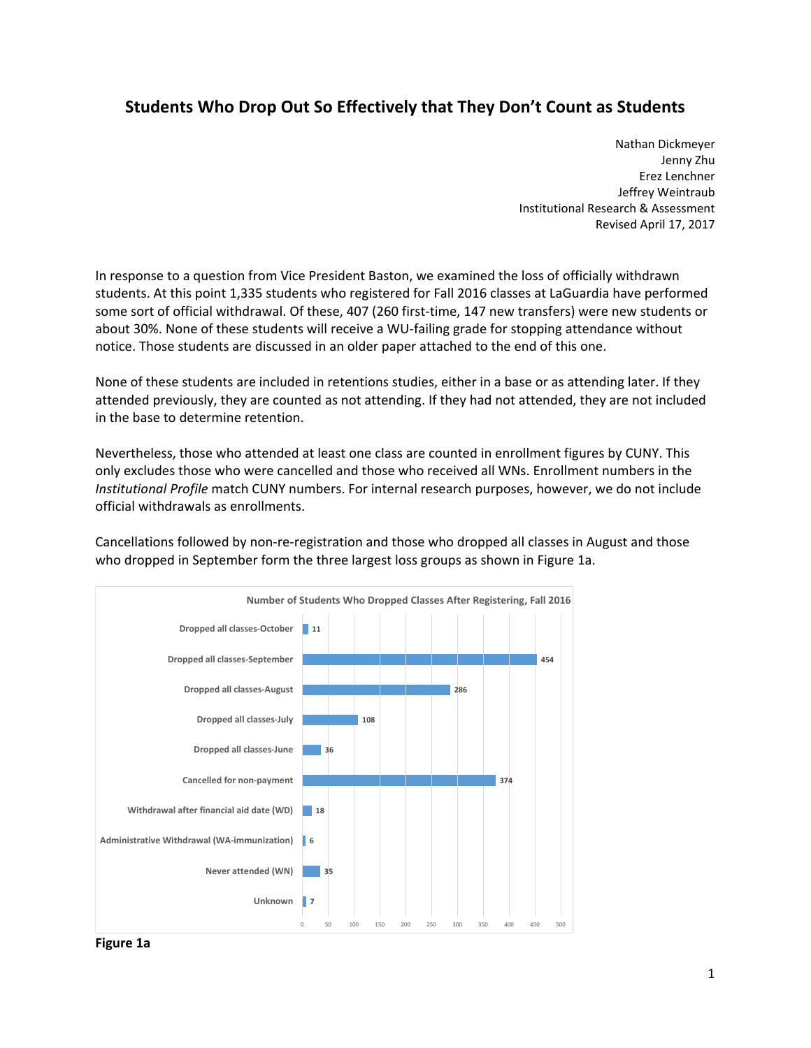## **Students Who Drop Out So Effectively that They Don't Count as Students**

 Nathan Dickmeyer Jenny Zhu Erez Lenchner Jeffrey Weintraub Institutional Research & Assessment Revised April 17, 2017

 In response to a question from Vice President Baston, we examined the loss of officially withdrawn students. At this point 1,335 students who registered for Fall 2016 classes at LaGuardia have performed some sort of official withdrawal. Of these, 407 (260 first‐time, 147 new transfers) were new students or about 30%. None of these students will receive a WU‐failing grade for stopping attendance without notice. Those students are discussed in an older paper attached to the end of this one.

 None of these students are included in retentions studies, either in a base or as attending later. If they attended previously, they are counted as not attending. If they had not attended, they are not included in the base to determine retention.

 Nevertheless, those who attended at least one class are counted in enrollment figures by CUNY. This only excludes those who were cancelled and those who received all WNs. Enrollment numbers in the *Institutional Profile* match CUNY numbers. For internal research purposes, however, we do not include official withdrawals as enrollments.

 Cancellations followed by non‐re‐registration and those who dropped all classes in August and those who dropped in September form the three largest loss groups as shown in Figure 1a.



 **Figure 1a**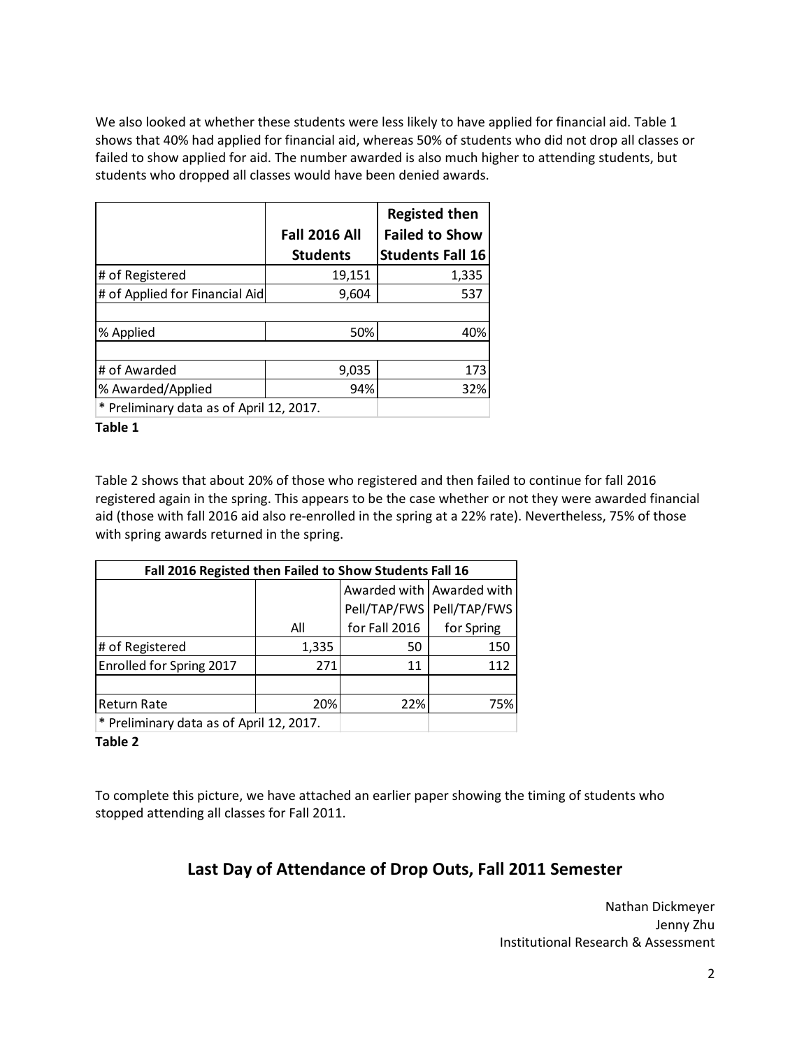We also looked at whether these students were less likely to have applied for financial aid. Table 1 shows that 40% had applied for financial aid, whereas 50% of students who did not drop all classes or failed to show applied for aid. The number awarded is also much higher to attending students, but students who dropped all classes would have been denied awards.

|                                          | <b>Fall 2016 All</b> | <b>Registed then</b><br><b>Failed to Show</b> |  |
|------------------------------------------|----------------------|-----------------------------------------------|--|
|                                          | <b>Students</b>      | <b>Students Fall 16</b>                       |  |
| # of Registered                          | 19,151               | 1,335                                         |  |
| # of Applied for Financial Aid           | 9,604                | 537                                           |  |
|                                          |                      |                                               |  |
| % Applied                                | 50%                  | 40%                                           |  |
|                                          |                      |                                               |  |
| # of Awarded                             | 9,035                | 173                                           |  |
| % Awarded/Applied                        | 94%                  | 32%                                           |  |
| * Preliminary data as of April 12, 2017. |                      |                                               |  |

 **Table 1**

 Table 2 shows that about 20% of those who registered and then failed to continue for fall 2016 registered again in the spring. This appears to be the case whether or not they were awarded financial aid (those with fall 2016 aid also re‐enrolled in the spring at a 22% rate). Nevertheless, 75% of those with spring awards returned in the spring.

| Fall 2016 Registed then Failed to Show Students Fall 16 |       |               |                             |  |
|---------------------------------------------------------|-------|---------------|-----------------------------|--|
|                                                         |       |               | Awarded with   Awarded with |  |
|                                                         |       | Pell/TAP/FWS  | Pell/TAP/FWS                |  |
|                                                         | All   | for Fall 2016 | for Spring                  |  |
| # of Registered                                         | 1,335 | 50            | 150                         |  |
| Enrolled for Spring 2017                                | 271   | 11            | 112                         |  |
|                                                         |       |               |                             |  |
| <b>Return Rate</b>                                      | 20%   | 22%           | 75%                         |  |
| * Preliminary data as of April 12, 2017.                |       |               |                             |  |

 **Table 2**

 To complete this picture, we have attached an earlier paper showing the timing of students who stopped attending all classes for Fall 2011.

## **Last Day of Attendance of Drop Outs, Fall 2011 Semester**

 Nathan Dickmeyer Jenny Zhu Institutional Research & Assessment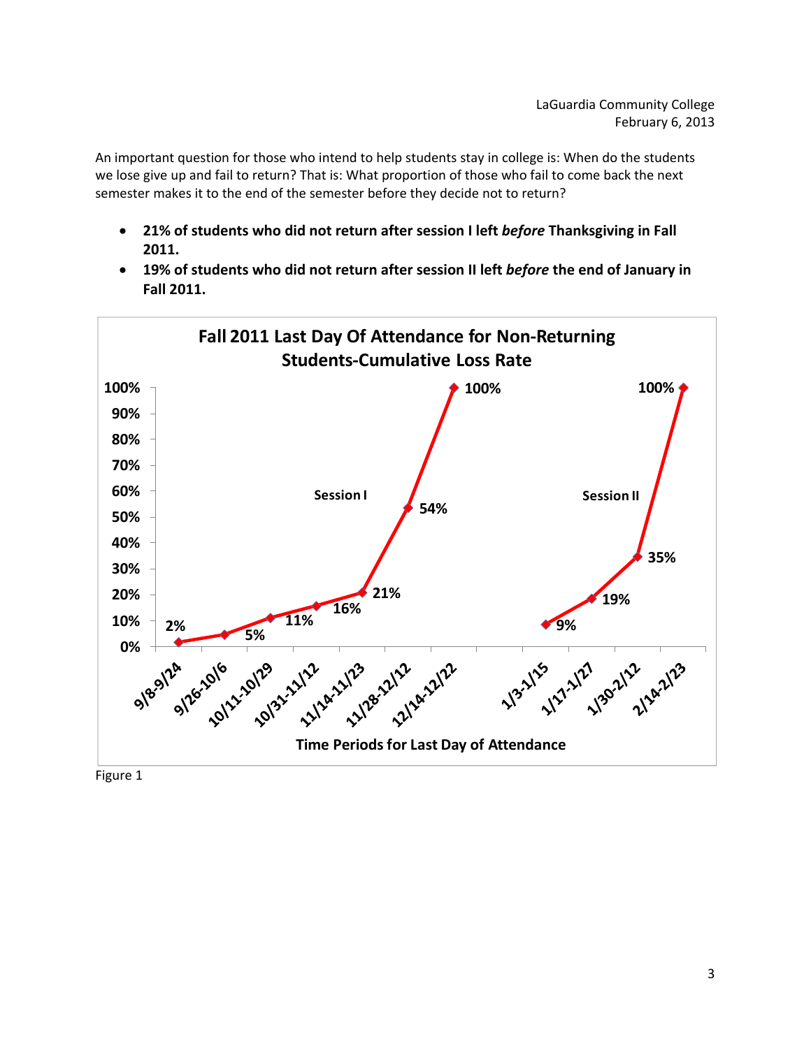An important question for those who intend to help students stay in college is: When do the students we lose give up and fail to return? That is: What proportion of those who fail to come back the next semester makes it to the end of the semester before they decide not to return?

- 21% of students who did not return after session I left before Thanksgiving in Fall **2011.**
- 19% of students who did not return after session II left before the end of January in **Fall 2011.**

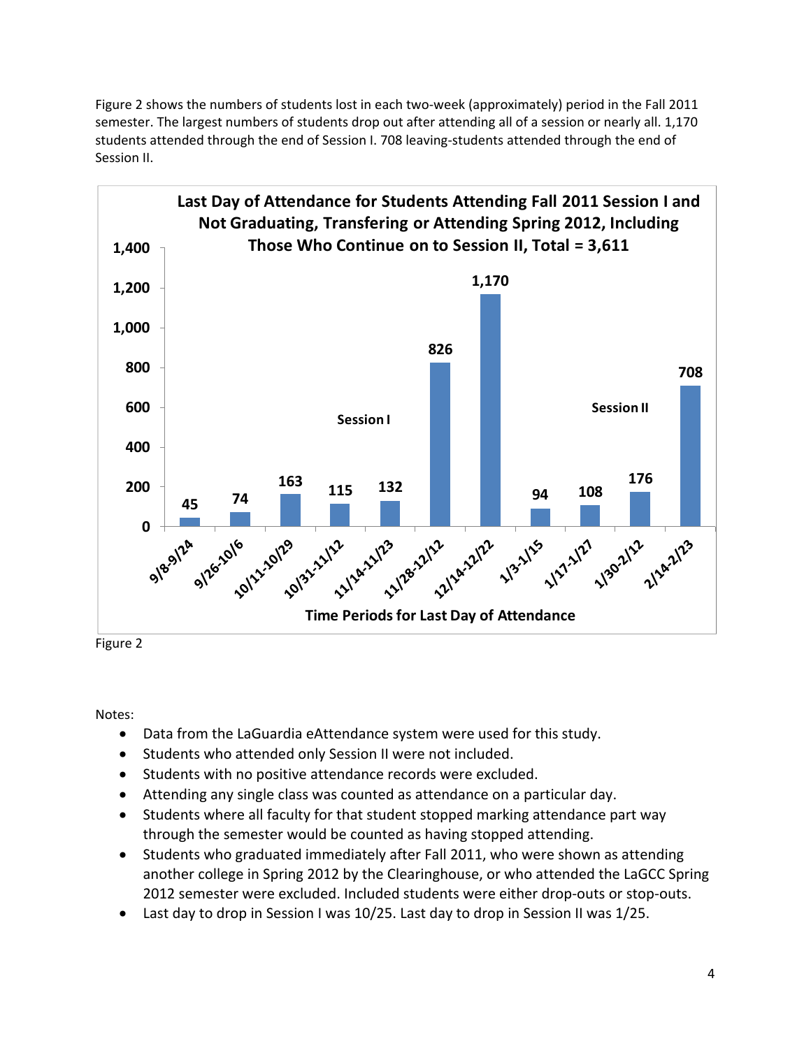Figure 2 shows the numbers of students lost in each two-week (approximately) period in the Fall 2011 semester. The largest numbers of students drop out after attending all of a session or nearly all. 1,170 students attended through the end of Session I. 708 leaving‐students attended through the end of Session II.



Notes:

- Data from the LaGuardia eAttendance system were used for this study.
- **•** Students who attended only Session II were not included.
- Students with no positive attendance records were excluded.
- Attending any single class was counted as attendance on a particular day.
- Students where all faculty for that student stopped marking attendance part way through the semester would be counted as having stopped attending.
- Students who graduated immediately after Fall 2011, who were shown as attending another college in Spring 2012 by the Clearinghouse, or who attended the LaGCC Spring 2012 semester were excluded. Included students were either drop‐outs or stop‐outs.
- Last day to drop in Session I was 10/25. Last day to drop in Session II was 1/25.